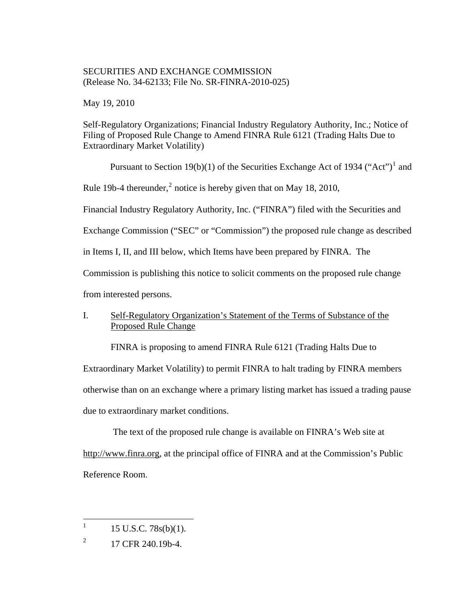## SECURITIES AND EXCHANGE COMMISSION (Release No. 34-62133; File No. SR-FINRA-2010-025)

May 19, 2010

Self-Regulatory Organizations; Financial Industry Regulatory Authority, Inc.; Notice of Filing of Proposed Rule Change to Amend FINRA Rule 6121 (Trading Halts Due to Extraordinary Market Volatility)

Pursuant to Section [1](#page-0-0)9(b)(1) of the Securities Exchange Act of 1934 ("Act")<sup>1</sup> and Rule 19b-4 thereunder,<sup>[2](#page-0-1)</sup> notice is hereby given that on May 18, 2010,

Financial Industry Regulatory Authority, Inc. ("FINRA") filed with the Securities and

Exchange Commission ("SEC" or "Commission") the proposed rule change as described

in Items I, II, and III below, which Items have been prepared by FINRA. The

Commission is publishing this notice to solicit comments on the proposed rule change

from interested persons.

# I. Self-Regulatory Organization's Statement of the Terms of Substance of the Proposed Rule Change

FINRA is proposing to amend FINRA Rule 6121 (Trading Halts Due to

Extraordinary Market Volatility) to permit FINRA to halt trading by FINRA members

otherwise than on an exchange where a primary listing market has issued a trading pause

due to extraordinary market conditions.

 The text of the proposed rule change is available on FINRA's Web site at http://www.finra.org, at the principal office of FINRA and at the Commission's Public Reference Room.

 $\frac{1}{1}$ 15 U.S.C. 78s(b)(1).

<span id="page-0-1"></span><span id="page-0-0"></span><sup>2</sup> 17 CFR 240.19b-4.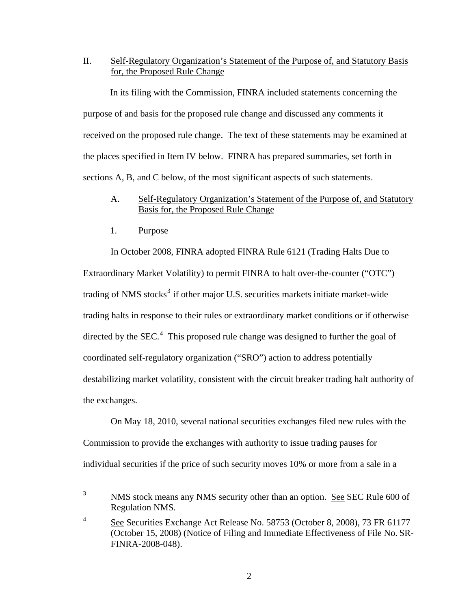II. Self-Regulatory Organization's Statement of the Purpose of, and Statutory Basis for, the Proposed Rule Change

In its filing with the Commission, FINRA included statements concerning the purpose of and basis for the proposed rule change and discussed any comments it received on the proposed rule change. The text of these statements may be examined at the places specified in Item IV below. FINRA has prepared summaries, set forth in sections A, B, and C below, of the most significant aspects of such statements.

## A. Self-Regulatory Organization's Statement of the Purpose of, and Statutory Basis for, the Proposed Rule Change

1. Purpose

 In October 2008, FINRA adopted FINRA Rule 6121 (Trading Halts Due to Extraordinary Market Volatility) to permit FINRA to halt over-the-counter ("OTC") trading of NMS stocks<sup>[3](#page-1-0)</sup> if other major U.S. securities markets initiate market-wide trading halts in response to their rules or extraordinary market conditions or if otherwise directed by the SEC. $4$  This proposed rule change was designed to further the goal of coordinated self-regulatory organization ("SRO") action to address potentially destabilizing market volatility, consistent with the circuit breaker trading halt authority of the exchanges.

 On May 18, 2010, several national securities exchanges filed new rules with the Commission to provide the exchanges with authority to issue trading pauses for individual securities if the price of such security moves 10% or more from a sale in a

<span id="page-1-0"></span> $\frac{1}{3}$ NMS stock means any NMS security other than an option. See SEC Rule 600 of Regulation NMS*.* 

<span id="page-1-1"></span><sup>4</sup> See Securities Exchange Act Release No. 58753 (October 8, 2008), 73 FR 61177 (October 15, 2008) (Notice of Filing and Immediate Effectiveness of File No. SR-FINRA-2008-048).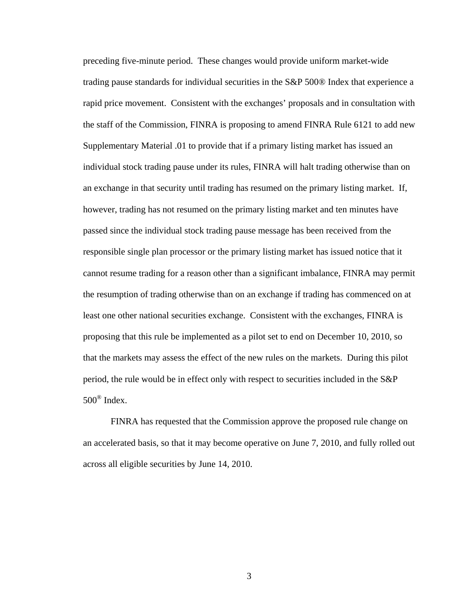preceding five-minute period. These changes would provide uniform market-wide trading pause standards for individual securities in the S&P 500® Index that experience a rapid price movement. Consistent with the exchanges' proposals and in consultation with the staff of the Commission, FINRA is proposing to amend FINRA Rule 6121 to add new Supplementary Material .01 to provide that if a primary listing market has issued an individual stock trading pause under its rules, FINRA will halt trading otherwise than on an exchange in that security until trading has resumed on the primary listing market. If, however, trading has not resumed on the primary listing market and ten minutes have passed since the individual stock trading pause message has been received from the responsible single plan processor or the primary listing market has issued notice that it cannot resume trading for a reason other than a significant imbalance, FINRA may permit the resumption of trading otherwise than on an exchange if trading has commenced on at least one other national securities exchange. Consistent with the exchanges, FINRA is proposing that this rule be implemented as a pilot set to end on December 10, 2010, so that the markets may assess the effect of the new rules on the markets. During this pilot period, the rule would be in effect only with respect to securities included in the S&P  $500^{\circ}$  Index.

 FINRA has requested that the Commission approve the proposed rule change on an accelerated basis, so that it may become operative on June 7, 2010, and fully rolled out across all eligible securities by June 14, 2010.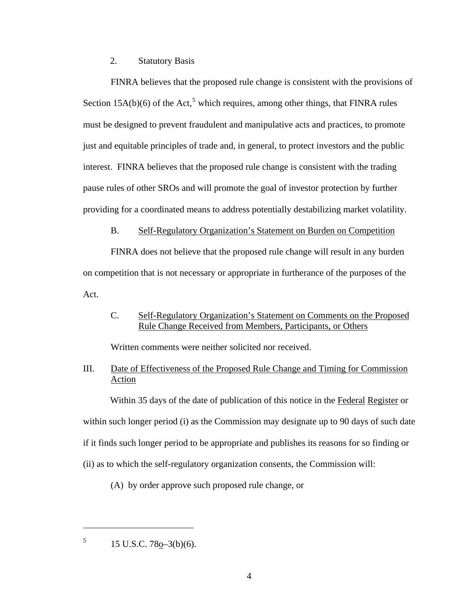### 2. Statutory Basis

FINRA believes that the proposed rule change is consistent with the provisions of Section  $15A(b)(6)$  $15A(b)(6)$  $15A(b)(6)$  of the Act,<sup>5</sup> which requires, among other things, that FINRA rules must be designed to prevent fraudulent and manipulative acts and practices, to promote just and equitable principles of trade and, in general, to protect investors and the public interest. FINRA believes that the proposed rule change is consistent with the trading pause rules of other SROs and will promote the goal of investor protection by further providing for a coordinated means to address potentially destabilizing market volatility.

#### B. Self-Regulatory Organization's Statement on Burden on Competition

FINRA does not believe that the proposed rule change will result in any burden on competition that is not necessary or appropriate in furtherance of the purposes of the Act.

## C. Self-Regulatory Organization's Statement on Comments on the Proposed Rule Change Received from Members, Participants, or Others

Written comments were neither solicited nor received.

# III. Date of Effectiveness of the Proposed Rule Change and Timing for Commission Action

Within 35 days of the date of publication of this notice in the Federal Register or within such longer period (i) as the Commission may designate up to 90 days of such date if it finds such longer period to be appropriate and publishes its reasons for so finding or (ii) as to which the self-regulatory organization consents, the Commission will:

(A) by order approve such proposed rule change, or

<span id="page-3-0"></span>5 15 U.S.C. 78o–3(b)(6).

 $\overline{a}$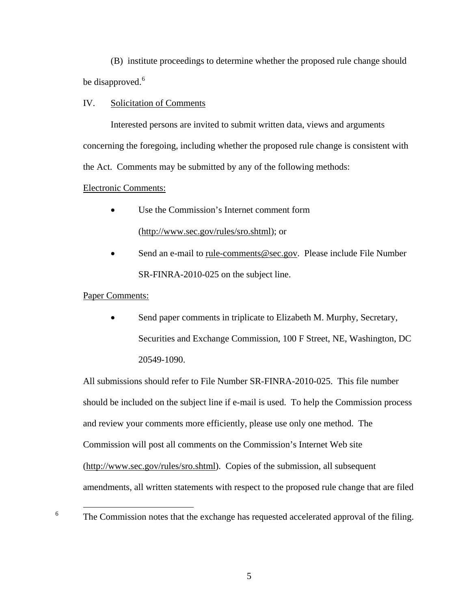(B) institute proceedings to determine whether the proposed rule change should be disapproved.<sup>[6](#page-4-0)</sup>

### IV. Solicitation of Comments

 Interested persons are invited to submit written data, views and arguments concerning the foregoing, including whether the proposed rule change is consistent with the Act. Comments may be submitted by any of the following methods:

#### Electronic Comments:

- Use the Commission's Internet comment form (http://www.sec.gov/rules/sro.shtml); or
- Send an e-mail to rule-comments@sec.gov. Please include File Number SR-FINRA-2010-025 on the subject line.

#### Paper Comments:

Send paper comments in triplicate to Elizabeth M. Murphy, Secretary, Securities and Exchange Commission, 100 F Street, NE, Washington, DC 20549-1090.

All submissions should refer to File Number SR-FINRA-2010-025. This file number should be included on the subject line if e-mail is used. To help the Commission process and review your comments more efficiently, please use only one method. The Commission will post all comments on the Commission's Internet Web site (http://www.sec.gov/rules/sro.shtml). Copies of the submission, all subsequent amendments, all written statements with respect to the proposed rule change that are filed

<span id="page-4-0"></span> $6 \qquad \qquad$ <sup>6</sup> The Commission notes that the exchange has requested accelerated approval of the filing.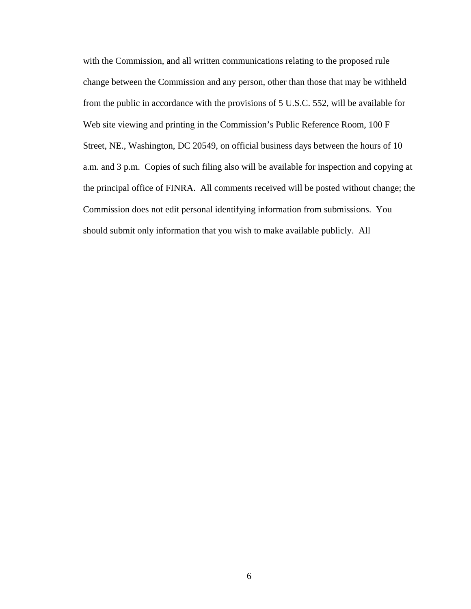with the Commission, and all written communications relating to the proposed rule change between the Commission and any person, other than those that may be withheld from the public in accordance with the provisions of 5 U.S.C. 552, will be available for Web site viewing and printing in the Commission's Public Reference Room, 100 F Street, NE., Washington, DC 20549, on official business days between the hours of 10 a.m. and 3 p.m. Copies of such filing also will be available for inspection and copying at the principal office of FINRA. All comments received will be posted without change; the Commission does not edit personal identifying information from submissions. You should submit only information that you wish to make available publicly. All